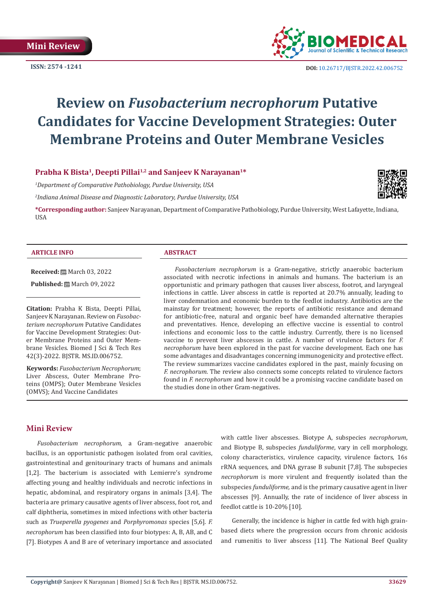

**ISSN:** 2574 -1241 **DOI:** [10.26717/BJSTR.2022.42.006752](https://dx.doi.org/10.26717/BJSTR.2022.42.006752)

# **Review on** *Fusobacterium necrophorum* **Putative Candidates for Vaccine Development Strategies: Outer Membrane Proteins and Outer Membrane Vesicles**

# Prabha K Bista<sup>1</sup>, Deepti Pillai<sup>1,2</sup> and Sanjeev K Narayanan<sup>1\*</sup>

*1 Department of Comparative Pathobiology, Purdue University, USA*

*2 Indiana Animal Disease and Diagnostic Laboratory, Purdue University, USA*

**\*Corresponding author:** Sanjeev Narayanan, Department of Comparative Pathobiology, Purdue University, West Lafayette, Indiana, **IISA** 

#### **ARTICLE INFO ABSTRACT**

**Received:** March 03, 2022

**Published:** ■ March 09, 2022

**Citation:** Prabha K Bista, Deepti Pillai, Sanjeev K Narayanan. Review on *Fusobacterium necrophorum* Putative Candidates for Vaccine Development Strategies: Outer Membrane Proteins and Outer Membrane Vesicles. Biomed J Sci & Tech Res 42(3)-2022. BJSTR. MS.ID.006752.

**Keywords:** *Fusobacterium Necrophorum*; Liver Abscess, Outer Membrane Proteins (OMPS); Outer Membrane Vesicles (OMVS); And Vaccine Candidates

*Fusobacterium necrophorum* is a Gram-negative, strictly anaerobic bacterium associated with necrotic infections in animals and humans. The bacterium is an opportunistic and primary pathogen that causes liver abscess, footrot, and laryngeal infections in cattle. Liver abscess in cattle is reported at 20.7% annually, leading to liver condemnation and economic burden to the feedlot industry. Antibiotics are the mainstay for treatment; however, the reports of antibiotic resistance and demand for antibiotic-free, natural and organic beef have demanded alternative therapies and preventatives. Hence, developing an effective vaccine is essential to control infections and economic loss to the cattle industry. Currently, there is no licensed vaccine to prevent liver abscesses in cattle. A number of virulence factors for *F. necrophorum* have been explored in the past for vaccine development. Each one has some advantages and disadvantages concerning immunogenicity and protective effect. The review summarizes vaccine candidates explored in the past, mainly focusing on *F. necrophorum*. The review also connects some concepts related to virulence factors found in *F. necrophorum* and how it could be a promising vaccine candidate based on the studies done in other Gram-negatives.

# **Mini Review**

*Fusobacterium necrophorum*, a Gram-negative anaerobic bacillus, is an opportunistic pathogen isolated from oral cavities, gastrointestinal and genitourinary tracts of humans and animals [1,2]. The bacterium is associated with Lemierre's syndrome affecting young and healthy individuals and necrotic infections in hepatic, abdominal, and respiratory organs in animals [3,4]. The bacteria are primary causative agents of liver abscess, foot rot, and calf diphtheria, sometimes in mixed infections with other bacteria such as *Trueperella pyogenes* and *Porphyromonas* species [5,6]. *F. necrophorum* has been classified into four biotypes: A, B, AB, and C [7]. Biotypes A and B are of veterinary importance and associated

with cattle liver abscesses. Biotype A, subspecies *necrophorum*, and Biotype B, subspecies *funduliforme*, vary in cell morphology, colony characteristics, virulence capacity, virulence factors, 16s rRNA sequences, and DNA gyrase B subunit [7,8]. The subspecies *necrophorum* is more virulent and frequently isolated than the subspecies *funduliforme,* and is the primary causative agent in liver abscesses [9]. Annually, the rate of incidence of liver abscess in feedlot cattle is 10-20% [10].

Generally, the incidence is higher in cattle fed with high grainbased diets where the progression occurs from chronic acidosis and rumenitis to liver abscess [11]. The National Beef Quality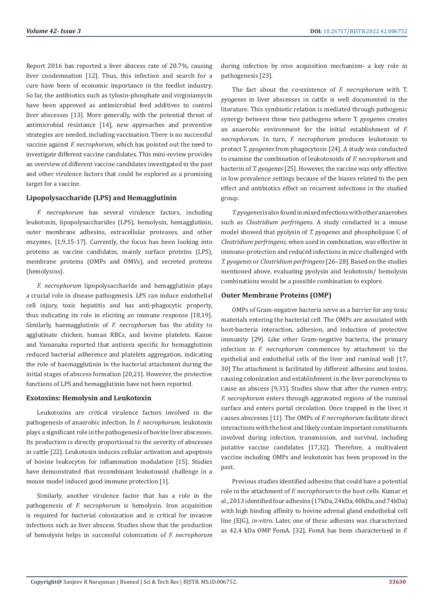Report 2016 has reported a liver abscess rate of 20.7%, causing liver condemnation [12]. Thus, this infection and search for a cure have been of economic importance in the feedlot industry. So far, the antibiotics such as tylosin-phosphate and virginiamycin have been approved as antimicrobial feed additives to control liver abscesses [13]. More generally, with the potential threat of antimicrobial resistance [14], new approaches and preventive strategies are needed, including vaccination. There is no successful vaccine against *F. necrophorum*, which has pointed out the need to investigate different vaccine candidates. This mini-review provides an overview of different vaccine candidates investigated in the past and other virulence factors that could be explored as a promising target for a vaccine.

#### **Lipopolysaccharide (LPS) and Hemagglutinin**

*F. necrophorum* has several virulence factors, including leukotoxin, lipopolysaccharides (LPS), hemolysin, hemagglutinin, outer membrane adhesins, extracellular proteases, and other enzymes. [1,9,15-17]. Currently, the focus has been looking into proteins as vaccine candidates, mainly surface proteins (LPS), membrane proteins (OMPs and OMVs), and secreted proteins (hemolysins).

*F. necrophorum* lipopolysaccharide and hemagglutinin plays a crucial role in disease pathogenesis. LPS can induce endothelial cell injury, toxic hepatitis and has anti-phagocytic property, thus indicating its role in eliciting an immune response [18,19]. Similarly, haemagglutinin of *F. necrophorum* has the ability to agglutinate chicken, human RBCs, and bovine platelets. Kanoe and Yamanaka reported that antisera specific for hemagglutinin reduced bacterial adherence and platelets aggregation, indicating the role of haemagglutinin in the bacterial attachment during the initial stages of abscess formation [20,21]. However, the protective functions of LPS and hemagglutinin have not been reported.

#### **Exotoxins: Hemolysin and Leukotoxin**

Leukotoxins are critical virulence factors involved in the pathogenesis of anaerobic infection. In *F. necrophorum*, leukotoxin plays a significant role in the pathogenesis of bovine liver abscesses. Its production is directly proportional to the severity of abscesses in cattle [22]. Leukotoxin induces cellular activation and apoptosis of bovine leukocytes for inflammation modulation [15]. Studies have demonstrated that recombinant leukotoxoid challenge in a mouse model induced good immune protection [1].

Similarly, another virulence factor that has a role in the pathogenesis of *F. necrophorum* is hemolysin. Iron acquisition is required for bacterial colonization and is critical for invasive infections such as liver abscess. Studies show that the production of hemolysin helps in successful colonization of *F. necrophorum*

during infection by iron acquisition mechanism- a key role in pathogenesis [23].

The fact about the co-existence of *F. necrophorum* with T. *pyogenes* in liver abscesses in cattle is well documented in the literature. This symbiotic relation is mediated through pathogenic synergy between these two pathogens where T. *pyogenes* creates an anaerobic environment for the initial establishment of *F. necrophorum*. In turn, *F. necrophorum* produces leukotoxin to protect T. *pyogenes* from phagocytosis [24]. A study was conducted to examine the combination of leukotoxoids of *F. necrophorum* and bacterin of *T. pyogenes* [25]. However, the vaccine was only effective in low prevalence settings because of the biases related to the pen effect and antibiotics effect on recurrent infections in the studied group.

*T. pyogenes* is also found in mixed infections with other anaerobes such as *Clostridium perfringens*. A study conducted in a mouse model showed that pyolysin of *T. pyogenes* and phospholipase C of *Clostridium perfringens*, when used in combination, was effective in immuno-protection and reduced infections in mice challenged with *T. pyogenes* or *Clostridium perfringens* [26–28]. Based on the studies mentioned above, evaluating pyolysin and leukotoxin/ hemolysin combinations would be a possible combination to explore.

#### **Outer Membrane Proteins (OMP)**

OMPs of Gram-negative bacteria serve as a barrier for any toxic materials entering the bacterial cell. The OMPs are associated with host-bacteria interaction, adhesion, and induction of protective immunity [29]. Like other Gram-negative bacteria, the primary infection in *F. necrophorum* commences by attachment to the epithelial and endothelial cells of the liver and ruminal wall [17, 30] The attachment is facilitated by different adhesins and toxins, causing colonization and establishment in the liver parenchyma to cause an abscess [9,31]. Studies show that after the rumen entry, *F. necrophorum* enters through aggravated regions of the ruminal surface and enters portal circulation. Once trapped in the liver, it causes abscesses [11]. The OMPs of *F. necrophorum* facilitate direct interactions with the host and likely contain important constituents involved during infection, transmission, and survival, including putative vaccine candidates [17,32]. Therefore, a multivalent vaccine including OMPs and leukotoxin has been proposed in the past.

Previous studies identified adhesins that could have a potential role in the attachment of *F. necrophorum* to the host cells. Kumar et al., 2013 identified four adhesins (17kDa, 24kDa, 40kDa, and 74kDa) with high binding affinity to bovine adrenal gland endothelial cell line (EJG), *in-vitro*. Later, one of these adhesins was characterized as 42.4 kDa OMP FomA. [32]. FomA has been characterized in *F.*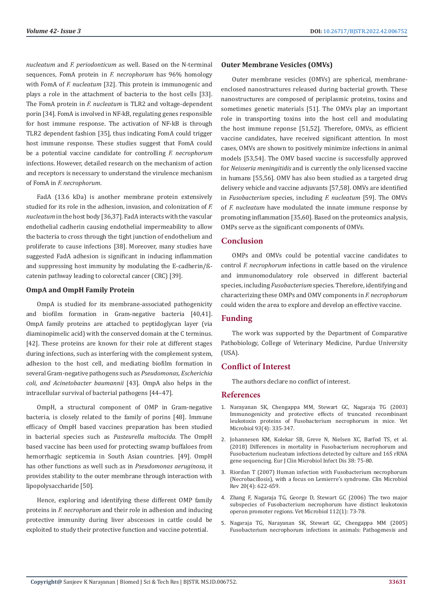*nucleatum* and *F. periodonticum* as well. Based on the N-terminal sequences, FomA protein in *F. necrophorum* has 96% homology with FomA of *F. nucleatum* [32]. This protein is immunogenic and plays a role in the attachment of bacteria to the host cells [33]. The FomA protein in *F. nucleatum* is TLR2 and voltage-dependent porin [34]. FomA is involved in NF-kB, regulating genes responsible for host immune response. The activation of NF-kB is through TLR2 dependent fashion [35], thus indicating FomA could trigger host immune response. These studies suggest that FomA could be a potential vaccine candidate for controlling *F. necrophorum* infections. However, detailed research on the mechanism of action and receptors is necessary to understand the virulence mechanism of FomA in *F. necrophorum*.

FadA (13.6 kDa) is another membrane protein extensively studied for its role in the adhesion, invasion, and colonization of *F. nucleatum* in the host body [36,37]. FadA interacts with the vascular endothelial cadherin causing endothelial impermeability to allow the bacteria to cross through the tight junction of endothelium and proliferate to cause infections [38]. Moreover, many studies have suggested FadA adhesion is significant in inducing inflammation and suppressing host immunity by modulating the E-cadherin/ßcatenin pathway leading to colorectal cancer (CRC) [39].

#### **OmpA and OmpH Family Protein**

OmpA is studied for its membrane-associated pathogenicity and biofilm formation in Gram-negative bacteria [40,41]. OmpA family proteins are attached to peptidoglycan layer (via diaminopimelic acid) with the conserved domain at the C terminus. [42]. These proteins are known for their role at different stages during infections, such as interfering with the complement system, adhesion to the host cell, and mediating biofilm formation in several Gram-negative pathogens such as *Pseudomonas, Escherichia coli, and Acinetobacter baumannii* [43]. OmpA also helps in the intracellular survival of bacterial pathogens [44–47].

OmpH, a structural component of OMP in Gram-negative bacteria, is closely related to the family of porins [48]. Immune efficacy of OmpH based vaccines preparation has been studied in bacterial species such as *Pasteurella multocida*. The OmpH based vaccine has been used for protecting swamp buffaloes from hemorrhagic septicemia in South Asian countries. [49]. OmpH has other functions as well such as in *Pseudomonas aeruginosa*, it provides stability to the outer membrane through interaction with lipopolysaccharide [50].

Hence, exploring and identifying these different OMP family proteins in *F. necrophorum* and their role in adhesion and inducing protective immunity during liver abscesses in cattle could be exploited to study their protective function and vaccine potential.

#### **Outer Membrane Vesicles (OMVs)**

Outer membrane vesicles (OMVs) are spherical, membraneenclosed nanostructures released during bacterial growth. These nanostructures are composed of periplasmic proteins, toxins and sometimes genetic materials [51]. The OMVs play an important role in transporting toxins into the host cell and modulating the host immune reponse [51,52]. Therefore, OMVs, as efficient vaccine candidates, have received significant attention. In most cases, OMVs are shown to positively minimize infections in animal models [53,54]. The OMV based vaccine is successfully approved for *Neisseria meningitidis* and is currently the only licensed vaccine in humans [55,56]. OMV has also been studied as a targeted drug delivery vehicle and vaccine adjuvants [57,58]. OMVs are identified in *Fusobacterium* species, including *F. nucleatum* [59]. The OMVs of *F. nucleatum* have modulated the innate immune response by promoting inflammation [35,60]. Based on the proteomics analysis, OMPs serve as the significant components of OMVs.

# **Conclusion**

OMPs and OMVs could be potential vaccine candidates to control *F. necrophorum* infections in cattle based on the virulence and immunomodulatory role observed in different bacterial species, including *Fusobacterium* species. Therefore, identifying and characterizing these OMPs and OMV components in *F. necrophorum* could widen the area to explore and develop an effective vaccine.

#### **Funding**

The work was supported by the Department of Comparative Pathobiology, College of Veterinary Medicine, Purdue University (USA).

# **Conflict of Interest**

The authors declare no conflict of interest.

#### **References**

- 1. [Narayanan SK, Chengappa MM, Stewart GC, Nagaraja TG \(2003\)](https://pubmed.ncbi.nlm.nih.gov/12713895/) [Immunogenicity and protective effects of truncated recombinant](https://pubmed.ncbi.nlm.nih.gov/12713895/) [leukotoxin proteins of Fusobacterium necrophorum in mice. Vet](https://pubmed.ncbi.nlm.nih.gov/12713895/) [Microbiol 93\(4\): 335-347.](https://pubmed.ncbi.nlm.nih.gov/12713895/)
- 2. [Johannesen KM, Kolekar SB, Greve N, Nielsen XC, Barfod TS, et al.](https://link.springer.com/article/10.1007/s10096-018-3394-4) [\(2018\) Differences in mortality in Fusobacterium necrophorum and](https://link.springer.com/article/10.1007/s10096-018-3394-4) [Fusobacterium nucleatum infections detected by culture and 16S rRNA](https://link.springer.com/article/10.1007/s10096-018-3394-4) [gene sequencing. Eur J Clin Microbiol Infect Dis 38: 75-80.](https://link.springer.com/article/10.1007/s10096-018-3394-4)
- 3. [Riordan T \(2007\) Human infection with Fusobacterium necrophorum](https://www.ncbi.nlm.nih.gov/labs/pmc/articles/PMC2176048/) [\(Necrobacillosis\), with a focus on Lemierre's syndrome. Clin Microbiol](https://www.ncbi.nlm.nih.gov/labs/pmc/articles/PMC2176048/) [Rev 20\(4\): 622-659.](https://www.ncbi.nlm.nih.gov/labs/pmc/articles/PMC2176048/)
- 4. [Zhang F, Nagaraja TG, George D, Stewart GC \(2006\) The two major](https://pubmed.ncbi.nlm.nih.gov/16303263/) [subspecies of Fusobacterium necrophorum have distinct leukotoxin](https://pubmed.ncbi.nlm.nih.gov/16303263/) [operon promoter regions. Vet Microbiol 112\(1\): 73-78.](https://pubmed.ncbi.nlm.nih.gov/16303263/)
- 5. [Nagaraja TG, Narayanan SK, Stewart GC, Chengappa MM \(2005\)](https://pubmed.ncbi.nlm.nih.gov/16701574/) [Fusobacterium necrophorum infections in animals: Pathogenesis and](https://pubmed.ncbi.nlm.nih.gov/16701574/)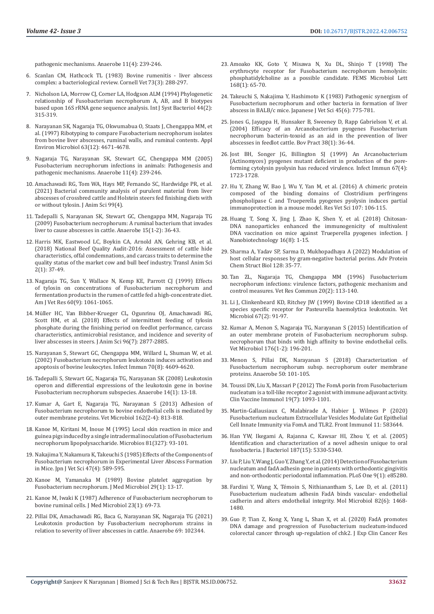[pathogenic mechanisms. Anaerobe 11\(4\): 239-246.](https://pubmed.ncbi.nlm.nih.gov/16701574/)

- 6. [Scanlan CM, Hathcock TL \(1983\) Bovine rumenitis liver abscess](https://pubmed.ncbi.nlm.nih.gov/6349929/)  [complex: a bacteriological review. Cornell Vet 73\(3\): 288-297.](https://pubmed.ncbi.nlm.nih.gov/6349929/)
- 7. [Nicholson LA, Morrow CJ, Corner LA, Hodgson ALM \(1994\) Phylogenetic](https://pubmed.ncbi.nlm.nih.gov/8186096/)  [relationship of Fusobacterium necrophorum A, AB, and B biotypes](https://pubmed.ncbi.nlm.nih.gov/8186096/)  [based upon 16S rRNA gene sequence analysis. Int J Syst Bacteriol 44\(2\):](https://pubmed.ncbi.nlm.nih.gov/8186096/)  [315-319](https://pubmed.ncbi.nlm.nih.gov/8186096/).
- 8. [Narayanan SK, Nagaraja TG, Okwumabua O, Staats J, Chengappa MM, et](https://pubmed.ncbi.nlm.nih.gov/9406386/)  [al. \(1997\) Ribotyping to compare Fusobacterium necrophorum isolates](https://pubmed.ncbi.nlm.nih.gov/9406386/)  [from bovine liver abscesses, ruminal walls, and ruminal contents. Appl](https://pubmed.ncbi.nlm.nih.gov/9406386/)  [Environ Microbiol 63\(12\): 4671-4678.](https://pubmed.ncbi.nlm.nih.gov/9406386/)
- 9. [Nagaraja TG, Narayanan SK, Stewart GC, Chengappa MM \(2005\)](https://pubmed.ncbi.nlm.nih.gov/16701574/)  [Fusobacterium necrophorum infections in animals: Pathogenesis and](https://pubmed.ncbi.nlm.nih.gov/16701574/)  [pathogenic mechanisms. Anaerobe 11\(4\): 239-246.](https://pubmed.ncbi.nlm.nih.gov/16701574/)
- 10. [Amachawadi RG, Tom WA, Hays MP, Fernando SC, Hardwidge PR, et al.](https://academic.oup.com/jas/article-abstract/99/4/skab076/6161324)  [\(2021\) Bacterial community analysis of purulent material from liver](https://academic.oup.com/jas/article-abstract/99/4/skab076/6161324)  [abscesses of crossbred cattle and Holstein steers fed finishing diets with](https://academic.oup.com/jas/article-abstract/99/4/skab076/6161324)  [or without tylosin. J Anim Sci 99\(4\).](https://academic.oup.com/jas/article-abstract/99/4/skab076/6161324)
- 11. [Tadepalli S, Narayanan SK, Stewart GC, Chengappa MM, Nagaraja TG](https://pubmed.ncbi.nlm.nih.gov/18595747/)  [\(2009\) Fusobacterium necrophorum: A ruminal bacterium that invades](https://pubmed.ncbi.nlm.nih.gov/18595747/)  [liver to cause abscesses in cattle. Anaerobe 15\(1-2\): 36-43.](https://pubmed.ncbi.nlm.nih.gov/18595747/)
- 12. [Harris MK, Eastwood LC, Boykin CA, Arnold AN, Gehring KB, et al.](https://academic.oup.com/tas/article/2/1/37/4820337)  [\(2018\) National Beef Quality Audit-2016: Assessment of cattle hide](https://academic.oup.com/tas/article/2/1/37/4820337)  [characteristics, offal condemnations, and carcass traits to determine the](https://academic.oup.com/tas/article/2/1/37/4820337)  [quality status of the market cow and bull beef industry. Transl Anim Sci](https://academic.oup.com/tas/article/2/1/37/4820337)  [2\(1\): 37-49.](https://academic.oup.com/tas/article/2/1/37/4820337)
- 13. Nagaraja TG, Sun Y, Wallace N, Kemp KE, Parrott CJ (1999) Effects [of tylosin on concentrations of Fusobacterium necrophorum and](https://pubmed.ncbi.nlm.nih.gov/10490072/)  [fermentation products in the rumen of cattle fed a high-concentrate diet.](https://pubmed.ncbi.nlm.nih.gov/10490072/)  [Am J Vet Res 60\(9\): 1061-1065.](https://pubmed.ncbi.nlm.nih.gov/10490072/)
- 14. [Müller HC, Van Bibber-Krueger CL, Ogunrinu OJ, Amachawadi RG,](https://pubmed.ncbi.nlm.nih.gov/29718254/)  [Scott HM, et al. \(2018\) Effects of intermittent feeding of tylosin](https://pubmed.ncbi.nlm.nih.gov/29718254/)  [phosphate during the finishing period on feedlot performance, carcass](https://pubmed.ncbi.nlm.nih.gov/29718254/)  [characteristics, antimicrobial resistance, and incidence and severity of](https://pubmed.ncbi.nlm.nih.gov/29718254/)  [liver abscesses in steers. J Anim Sci 96\(7\): 2877-2885.](https://pubmed.ncbi.nlm.nih.gov/29718254/)
- 15. [Narayanan S, Stewart GC, Chengappa MM, Willard L, Shuman W, et al.](https://www.ncbi.nlm.nih.gov/labs/pmc/articles/PMC128195/)  [\(2002\) Fusobacterium necrophorum leukotoxin induces activation and](https://www.ncbi.nlm.nih.gov/labs/pmc/articles/PMC128195/)  [apoptosis of bovine leukocytes. Infect Immun 70\(8\): 4609-4620.](https://www.ncbi.nlm.nih.gov/labs/pmc/articles/PMC128195/)
- 16. [Tadepalli S, Stewart GC, Nagaraja TG, Narayanan SK \(2008\) Leukotoxin](https://pubmed.ncbi.nlm.nih.gov/17988899/)  [operon and differential expressions of the leukotoxin gene in bovine](https://pubmed.ncbi.nlm.nih.gov/17988899/)  [Fusobacterium necrophorum subspecies. Anaerobe 14\(1\): 13-18](https://pubmed.ncbi.nlm.nih.gov/17988899/).
- 17. [Kumar A, Gart E, Nagaraja TG, Narayanan S \(2013\) Adhesion of](https://pubmed.ncbi.nlm.nih.gov/23153522/)  [Fusobacterium necrophorum to bovine endothelial cells is mediated by](https://pubmed.ncbi.nlm.nih.gov/23153522/)  [outer membrane proteins. Vet Microbiol 162\(2-4\): 813-818.](https://pubmed.ncbi.nlm.nih.gov/23153522/)
- 18. [Kanoe M, Kiritani M, Inoue M \(1995\) Local skin reaction in mice and](https://pubmed.ncbi.nlm.nih.gov/7476558/)  [guinea pigs induced by a single intradermal inoculation of Fusobacterium](https://pubmed.ncbi.nlm.nih.gov/7476558/)  [necrophorum lipopolysaccharide. Microbios 81\(327\): 93-101](https://pubmed.ncbi.nlm.nih.gov/7476558/).
- 19. [Nakajima Y, Nakamura K, Takeuchi S \(1985\) Effects of the Components of](https://www.jstage.jst.go.jp/article/jvms1939/47/4/47_4_589/_article)  [Fusobacterium necrophorum in Experimental Liver Abscess Formation](https://www.jstage.jst.go.jp/article/jvms1939/47/4/47_4_589/_article)  [in Mice. Jpn J Vet Sci 47\(4\): 589-595.](https://www.jstage.jst.go.jp/article/jvms1939/47/4/47_4_589/_article)
- 20. [Kanoe M, Yamanaka M \(1989\) Bovine platelet aggregation by](https://pubmed.ncbi.nlm.nih.gov/2657068/)  [Fusobacterium necrophorum. J Med Microbiol 29\(1\): 13-17](https://pubmed.ncbi.nlm.nih.gov/2657068/).
- 21. [Kanoe M, Iwaki K \(1987\) Adherence of Fusobacterium necrophorum to](https://pubmed.ncbi.nlm.nih.gov/3820273/)  [bovine ruminal cells. J Med Microbiol 23\(1\): 69-73](https://pubmed.ncbi.nlm.nih.gov/3820273/).
- 22. [Pillai DK, Amachawadi RG, Baca G, Narayanan SK, Nagaraja TG \(2021\)](https://www.sciencedirect.com/science/article/abs/pii/S1075996421000275)  [Leukotoxin production by Fusobacterium necrophorum strains in](https://www.sciencedirect.com/science/article/abs/pii/S1075996421000275)  [relation to severity of liver abscesses in cattle. Anaerobe 69: 102344.](https://www.sciencedirect.com/science/article/abs/pii/S1075996421000275)
- 23. [Amoako KK, Goto Y, Misawa N, Xu DL, Shinjo T \(1998\) The](https://pubmed.ncbi.nlm.nih.gov/9812364/) [erythrocyte receptor for Fusobacterium necrophorum hemolysin:](https://pubmed.ncbi.nlm.nih.gov/9812364/) [phosphatidylcholine as a possible candidate. FEMS Microbiol Lett](https://pubmed.ncbi.nlm.nih.gov/9812364/) [168\(1\): 65-70.](https://pubmed.ncbi.nlm.nih.gov/9812364/)
- 24. [Takeuchi S, Nakajima Y, Hashimoto K \(1983\) Pathogenic synergism of](https://www.cabi.org/ISC/abstract/19842239964) [Fusobacterium necrophorum and other bacteria in formation of liver](https://www.cabi.org/ISC/abstract/19842239964) [abscess in BALB/c mice. Japanese J Vet Sci 45\(6\): 775-781.](https://www.cabi.org/ISC/abstract/19842239964)
- 25. [Jones G, Jayappa H, Hunsaker B, Sweeney D, Rapp Gabrielson V, et al.](https://journals.tdl.org/bovine/index.php/bovine/article/view/1696) [\(2004\) Efficacy of an Arcanobacterium pyogenes Fusobacterium](https://journals.tdl.org/bovine/index.php/bovine/article/view/1696) [necrophorum bacterin-toxoid as an aid in the prevention of liver](https://journals.tdl.org/bovine/index.php/bovine/article/view/1696) [abscesses in feedlot cattle. Bov Pract 38\(1\): 36-44](https://journals.tdl.org/bovine/index.php/bovine/article/view/1696).
- 26. [Jost BH, Songer JG, Billington SJ \(1999\) An Arcanobacterium](https://pubmed.ncbi.nlm.nih.gov/10085010/) [\(Actinomyces\) pyogenes mutant deficient in production of the pore](https://pubmed.ncbi.nlm.nih.gov/10085010/)[forming cytolysin pyolysin has reduced virulence. Infect Immun 67\(4\):](https://pubmed.ncbi.nlm.nih.gov/10085010/) [1723-1728.](https://pubmed.ncbi.nlm.nih.gov/10085010/)
- 27. [Hu Y, Zhang W, Bao J, Wu Y, Yan M, et al. \(2016\) A chimeric protein](https://pubmed.ncbi.nlm.nih.gov/27473983/) [composed of the binding domains of Clostridium perfringens](https://pubmed.ncbi.nlm.nih.gov/27473983/) [phospholipase C and Trueperella pyogenes pyolysin induces partial](https://pubmed.ncbi.nlm.nih.gov/27473983/) [immunoprotection in a mouse model. Res Vet Sci 107: 106-115.](https://pubmed.ncbi.nlm.nih.gov/27473983/)
- 28. [Huang T, Song X, Jing J, Zhao K, Shen Y, et al. \(2018\) Chitosan-](https://www.ncbi.nlm.nih.gov/labs/pmc/articles/PMC5787914/)[DNA nanoparticles enhanced the immunogenicity of multivalent](https://www.ncbi.nlm.nih.gov/labs/pmc/articles/PMC5787914/) [DNA vaccination on mice against Trueperella pyogenes infection. J](https://www.ncbi.nlm.nih.gov/labs/pmc/articles/PMC5787914/) [Nanobiotechnology 16\(8\): 1-15.](https://www.ncbi.nlm.nih.gov/labs/pmc/articles/PMC5787914/)
- 29. [Sharma A, Yadav SP, Sarma D, Mukhopadhaya A \(2022\) Modulation of](https://www.sciencedirect.com/science/article/abs/pii/S1876162321000808) [host cellular responses by gram-negative bacterial porins. Adv Protein](https://www.sciencedirect.com/science/article/abs/pii/S1876162321000808) [Chem Struct Biol 128: 35-77.](https://www.sciencedirect.com/science/article/abs/pii/S1876162321000808)
- 30. [Tan ZL, Nagaraja TG, Chengappa MM \(1996\) Fusobacterium](https://pubmed.ncbi.nlm.nih.gov/8711893/) [necrophorum infections: virulence factors, pathogenic mechanism and](https://pubmed.ncbi.nlm.nih.gov/8711893/) [control measures. Vet Res Commun 20\(2\): 113-140.](https://pubmed.ncbi.nlm.nih.gov/8711893/)
- 31. [Li J, Clinkenbeard KD, Ritchey JW \(1999\) Bovine CD18 identified as a](https://pubmed.ncbi.nlm.nih.gov/10414364/) [species specific receptor for Pasteurella haemolytica leukotoxin. Vet](https://pubmed.ncbi.nlm.nih.gov/10414364/) [Microbiol 67\(2\): 91-97.](https://pubmed.ncbi.nlm.nih.gov/10414364/)
- 32. [Kumar A, Menon S, Nagaraja TG, Narayanan S \(2015\) Identification of](https://pubmed.ncbi.nlm.nih.gov/25601800/) [an outer membrane protein of Fusobacterium necrophorum subsp.](https://pubmed.ncbi.nlm.nih.gov/25601800/) [necrophorum that binds with high affinity to bovine endothelial cells.](https://pubmed.ncbi.nlm.nih.gov/25601800/) [Vet Microbiol 176\(1-2\): 196-201.](https://pubmed.ncbi.nlm.nih.gov/25601800/)
- 33. [Menon S, Pillai DK, Narayanan S \(2018\) Characterization of](https://pubmed.ncbi.nlm.nih.gov/29408599/) [Fusobacterium necrophorum subsp. necrophorum outer membrane](https://pubmed.ncbi.nlm.nih.gov/29408599/) [proteins. Anaerobe 50: 101-105.](https://pubmed.ncbi.nlm.nih.gov/29408599/)
- 34. [Toussi DN, Liu X, Massari P \(2012\) The FomA porin from Fusobacterium](https://pubmed.ncbi.nlm.nih.gov/22623652/) [nucleatum is a toll-like receptor 2 agonist with immune adjuvant activity.](https://pubmed.ncbi.nlm.nih.gov/22623652/) [Clin Vaccine Immunol 19\(7\): 1093-1101.](https://pubmed.ncbi.nlm.nih.gov/22623652/)
- 35. [Martin-Gallausiaux C, Malabirade A, Habier J, Wilmes P \(2020\)](https://www.frontiersin.org/articles/10.3389/fimmu.2020.583644/full) [Fusobacterium nucleatum Extracellular Vesicles Modulate Gut Epithelial](https://www.frontiersin.org/articles/10.3389/fimmu.2020.583644/full) [Cell Innate Immunity via FomA and TLR2. Front Immunol 11: 583644.](https://www.frontiersin.org/articles/10.3389/fimmu.2020.583644/full)
- 36. [Han YW, Ikegami A, Rajanna C, Kawsar HI, Zhou Y, et al. \(2005\)](https://pubmed.ncbi.nlm.nih.gov/16030227/) [Identification and characterization of a novel adhesin unique to oral](https://pubmed.ncbi.nlm.nih.gov/16030227/) [fusobacteria. J Bacteriol 187\(15\): 5330-5340.](https://pubmed.ncbi.nlm.nih.gov/16030227/)
- 37. [Liu P, Liu Y, Wang J, Guo Y, Zhang Y, et al. \(2014\) Detection of Fusobacterium](https://pubmed.ncbi.nlm.nih.gov/24416378/) [nucleatum and fadA adhesin gene in patients with orthodontic gingivitis](https://pubmed.ncbi.nlm.nih.gov/24416378/) [and non-orthodontic periodontal inflammation. PLoS One 9\(1\): e85280.](https://pubmed.ncbi.nlm.nih.gov/24416378/)
- 38. [Fardini Y, Wang X, Témoin S, Nithianantham S, Lee D, et al. \(2011\)](https://pubmed.ncbi.nlm.nih.gov/22040113/) [Fusobacterium nucleatum adhesin FadA binds vascular- endothelial](https://pubmed.ncbi.nlm.nih.gov/22040113/) [cadherin and alters endothelial integrity. Mol Microbiol 82\(6\): 1468-](https://pubmed.ncbi.nlm.nih.gov/22040113/) [1480.](https://pubmed.ncbi.nlm.nih.gov/22040113/)
- 39. [Guo P, Tian Z, Kong X, Yang L, Shan X, et al. \(2020\) FadA promotes](https://pubmed.ncbi.nlm.nih.gov/32993749/) [DNA damage and progression of Fusobacterium nucleatum-induced](https://pubmed.ncbi.nlm.nih.gov/32993749/) [colorectal cancer through up-regulation of chk2. J Exp Clin Cancer Res](https://pubmed.ncbi.nlm.nih.gov/32993749/)